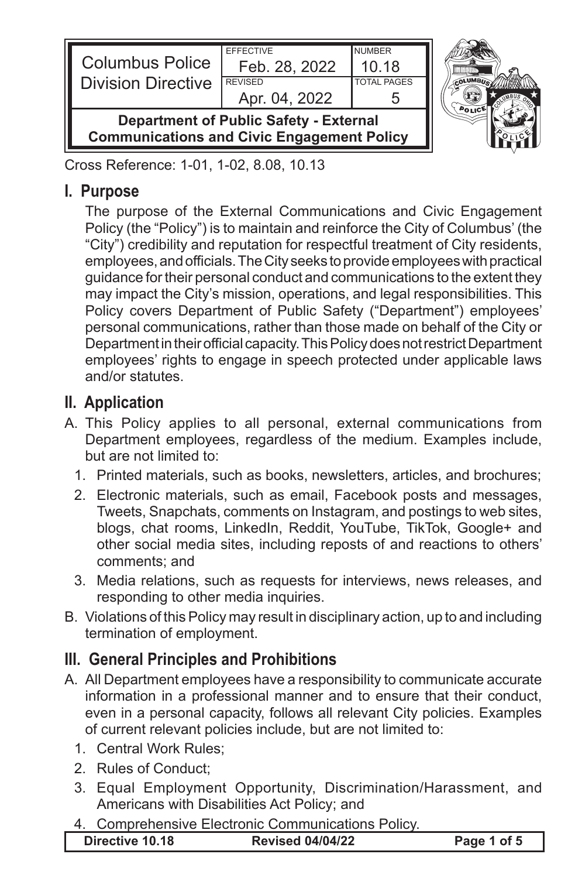| <b>Columbus Police</b><br><b>Division Directive</b> | <b>EFFECTIVE</b><br>Feb. 28, 2022<br><b>REVISED</b><br>Apr. 04, 2022 | <b>NUMBER</b><br>10.18<br><b>TOTAL PAGES</b> |  |
|-----------------------------------------------------|----------------------------------------------------------------------|----------------------------------------------|--|
| <b>Communications and Civic Engagement Policy</b>   | <b>Department of Public Safety - External</b>                        |                                              |  |

Cross Reference: 1-01, 1-02, 8.08, 10.13

#### **I. Purpose**

The purpose of the External Communications and Civic Engagement Policy (the "Policy") is to maintain and reinforce the City of Columbus' (the "City") credibility and reputation for respectful treatment of City residents, employees, and officials. The City seeks to provide employees with practical guidance for their personal conduct and communications to the extent they may impact the City's mission, operations, and legal responsibilities. This Policy covers Department of Public Safety ("Department") employees' personal communications, rather than those made on behalf of the City or Department in their official capacity. This Policy does not restrict Department employees' rights to engage in speech protected under applicable laws and/or statutes.

### **II. Application**

- A. This Policy applies to all personal, external communications from Department employees, regardless of the medium. Examples include, but are not limited to:
	- 1. Printed materials, such as books, newsletters, articles, and brochures;
	- 2. Electronic materials, such as email, Facebook posts and messages, Tweets, Snapchats, comments on Instagram, and postings to web sites, blogs, chat rooms, LinkedIn, Reddit, YouTube, TikTok, Google+ and other social media sites, including reposts of and reactions to others' comments; and
	- 3. Media relations, such as requests for interviews, news releases, and responding to other media inquiries.
- B. Violations of this Policy may result in disciplinary action, up to and including termination of employment.

# **III. General Principles and Prohibitions**

- A. All Department employees have a responsibility to communicate accurate information in a professional manner and to ensure that their conduct, even in a personal capacity, follows all relevant City policies. Examples of current relevant policies include, but are not limited to:
	- 1. Central Work Rules;
	- 2. Rules of Conduct;
	- 3. Equal Employment Opportunity, Discrimination/Harassment, and Americans with Disabilities Act Policy; and
	- 4. Comprehensive Electronic Communications Policy.

|--|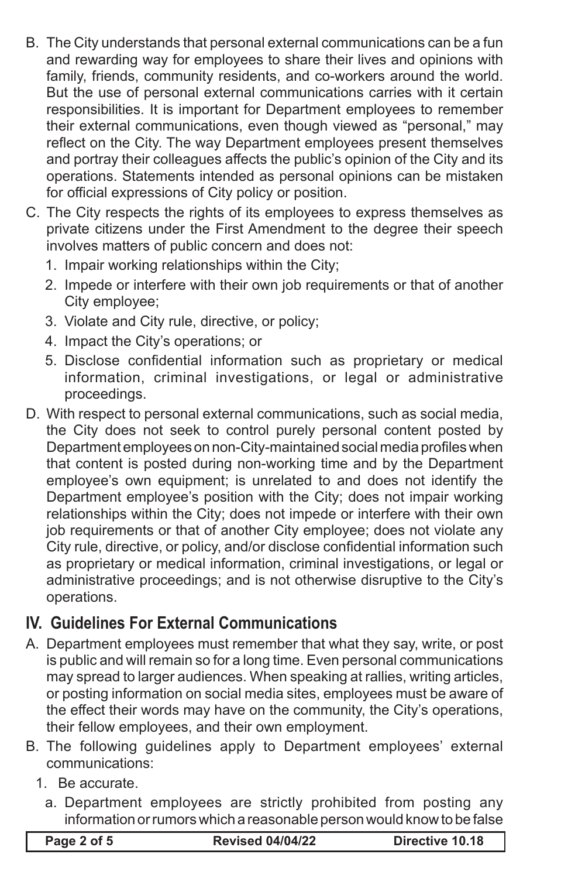- B. The City understands that personal external communications can be a fun and rewarding way for employees to share their lives and opinions with family, friends, community residents, and co-workers around the world. But the use of personal external communications carries with it certain responsibilities. It is important for Department employees to remember their external communications, even though viewed as "personal," may reflect on the City. The way Department employees present themselves and portray their colleagues affects the public's opinion of the City and its operations. Statements intended as personal opinions can be mistaken for official expressions of City policy or position.
- C. The City respects the rights of its employees to express themselves as private citizens under the First Amendment to the degree their speech involves matters of public concern and does not:
	- 1. Impair working relationships within the City;
	- 2. Impede or interfere with their own job requirements or that of another City employee;
	- 3. Violate and City rule, directive, or policy;
	- 4. Impact the City's operations; or
	- 5. Disclose confidential information such as proprietary or medical information, criminal investigations, or legal or administrative proceedings.
- D. With respect to personal external communications, such as social media, the City does not seek to control purely personal content posted by Department employees on non-City-maintained social media profiles when that content is posted during non-working time and by the Department employee's own equipment; is unrelated to and does not identify the Department employee's position with the City; does not impair working relationships within the City; does not impede or interfere with their own job requirements or that of another City employee; does not violate any City rule, directive, or policy, and/or disclose confidential information such as proprietary or medical information, criminal investigations, or legal or administrative proceedings; and is not otherwise disruptive to the City's operations.

# **IV. Guidelines For External Communications**

- A. Department employees must remember that what they say, write, or post is public and will remain so for a long time. Even personal communications may spread to larger audiences. When speaking at rallies, writing articles, or posting information on social media sites, employees must be aware of the effect their words may have on the community, the City's operations, their fellow employees, and their own employment.
- B. The following guidelines apply to Department employees' external communications:
	- 1. Be accurate.
		- a. Department employees are strictly prohibited from posting any information or rumors which a reasonable person would know to be false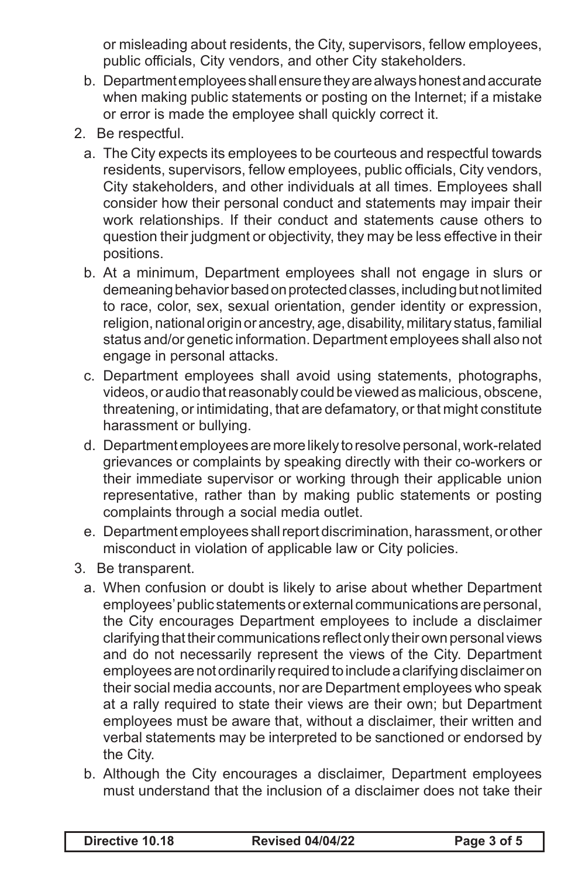or misleading about residents, the City, supervisors, fellow employees, public officials, City vendors, and other City stakeholders.

- b. Department employees shall ensure they are always honest and accurate when making public statements or posting on the Internet; if a mistake or error is made the employee shall quickly correct it.
- 2. Be respectful.
	- a. The City expects its employees to be courteous and respectful towards residents, supervisors, fellow employees, public officials, City vendors, City stakeholders, and other individuals at all times. Employees shall consider how their personal conduct and statements may impair their work relationships. If their conduct and statements cause others to question their judgment or objectivity, they may be less effective in their positions.
	- b. At a minimum, Department employees shall not engage in slurs or demeaning behavior based on protected classes, including but not limited to race, color, sex, sexual orientation, gender identity or expression, religion, national origin or ancestry, age, disability, military status, familial status and/or genetic information. Department employees shall also not engage in personal attacks.
	- c. Department employees shall avoid using statements, photographs, videos, or audio that reasonably could be viewed as malicious, obscene, threatening, or intimidating, that are defamatory, or that might constitute harassment or bullying.
	- d. Department employees are more likely to resolve personal, work-related grievances or complaints by speaking directly with their co-workers or their immediate supervisor or working through their applicable union representative, rather than by making public statements or posting complaints through a social media outlet.
	- e. Department employees shall report discrimination, harassment, or other misconduct in violation of applicable law or City policies.
- 3. Be transparent.
	- a. When confusion or doubt is likely to arise about whether Department employees' public statements or external communications are personal, the City encourages Department employees to include a disclaimer clarifying that their communications reflect only their own personal views and do not necessarily represent the views of the City. Department employees are not ordinarily required to include a clarifying disclaimer on their social media accounts, nor are Department employees who speak at a rally required to state their views are their own; but Department employees must be aware that, without a disclaimer, their written and verbal statements may be interpreted to be sanctioned or endorsed by the City.
	- b. Although the City encourages a disclaimer, Department employees must understand that the inclusion of a disclaimer does not take their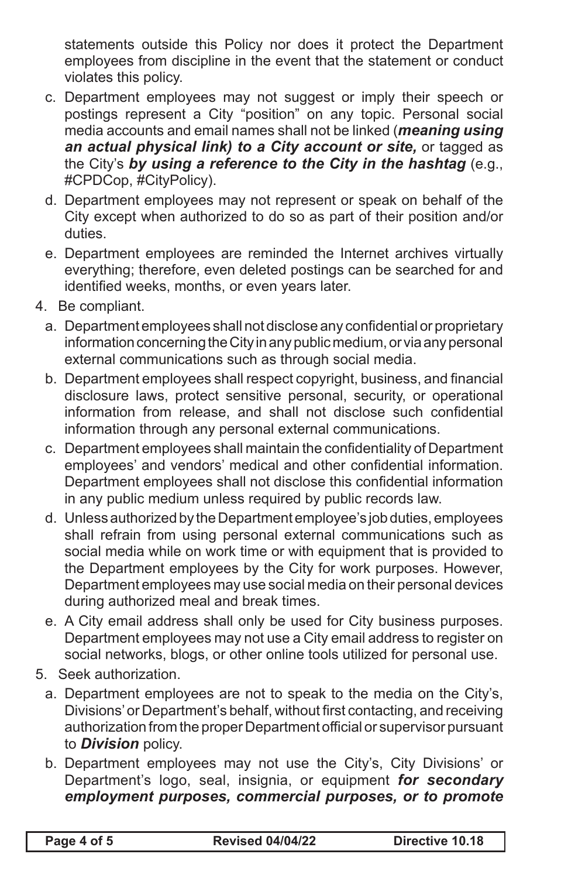statements outside this Policy nor does it protect the Department employees from discipline in the event that the statement or conduct violates this policy.

- c. Department employees may not suggest or imply their speech or postings represent a City "position" on any topic. Personal social media accounts and email names shall not be linked (*meaning using an actual physical link) to a City account or site,* or tagged as the City's *by using a reference to the City in the hashtag* (e.g., #CPDCop, #CityPolicy).
- d. Department employees may not represent or speak on behalf of the City except when authorized to do so as part of their position and/or duties.
- e. Department employees are reminded the Internet archives virtually everything; therefore, even deleted postings can be searched for and identified weeks, months, or even years later.
- 4. Be compliant.
	- a. Department employees shall not disclose any confidential or proprietary information concerning the City in any public medium, or via any personal external communications such as through social media.
	- b. Department employees shall respect copyright, business, and financial disclosure laws, protect sensitive personal, security, or operational information from release, and shall not disclose such confidential information through any personal external communications.
	- c. Department employees shall maintain the confidentiality of Department employees' and vendors' medical and other confidential information. Department employees shall not disclose this confidential information in any public medium unless required by public records law.
	- d. Unless authorized by the Department employee's job duties, employees shall refrain from using personal external communications such as social media while on work time or with equipment that is provided to the Department employees by the City for work purposes. However, Department employees may use social media on their personal devices during authorized meal and break times.
	- e. A City email address shall only be used for City business purposes. Department employees may not use a City email address to register on social networks, blogs, or other online tools utilized for personal use.
- 5. Seek authorization.
	- a. Department employees are not to speak to the media on the City's, Divisions' or Department's behalf, without first contacting, and receiving authorization from the proper Department official or supervisor pursuant to *Division* policy.
	- b. Department employees may not use the City's, City Divisions' or Department's logo, seal, insignia, or equipment *for secondary employment purposes, commercial purposes, or to promote*